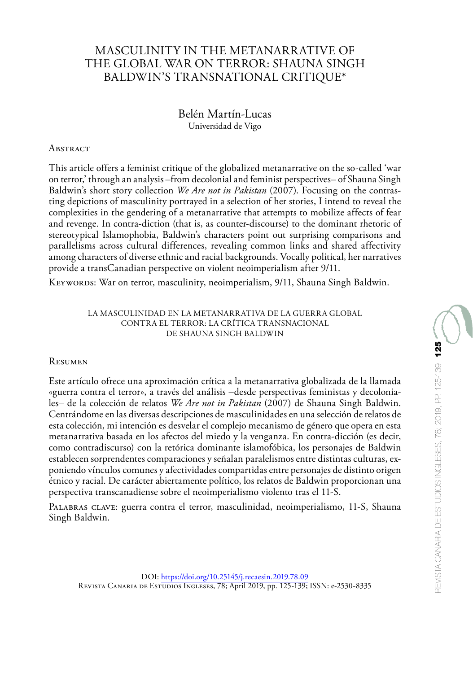# MASCULINITY IN THE METANARRATIVE OF THE GLOBAL WAR ON TERROR: SHAUNA SINGH BALDWIN'S TRANSNATIONAL CRITIQUE\*

## Belén Martín-Lucas Universidad de Vigo

#### **ABSTRACT**

This article offers a feminist critique of the globalized metanarrative on the so-called 'war on terror,' through an analysis –from decolonial and feminist perspectives– of Shauna Singh Baldwin's short story collection *We Are not in Pakistan* (2007). Focusing on the contrasting depictions of masculinity portrayed in a selection of her stories, I intend to reveal the complexities in the gendering of a metanarrative that attempts to mobilize affects of fear and revenge. In contra-diction (that is, as counter-discourse) to the dominant rhetoric of stereotypical Islamophobia, Baldwin's characters point out surprising comparisons and parallelisms across cultural differences, revealing common links and shared affectivity among characters of diverse ethnic and racial backgrounds. Vocally political, her narratives provide a transCanadian perspective on violent neoimperialism after 9/11.

Keywords: War on terror, masculinity, neoimperialism, 9/11, Shauna Singh Baldwin.

#### LA MASCULINIDAD EN LA METANARRATIVA DE LA GUERRA GLOBAL CONTRA EL TERROR: LA CRÍTICA TRANSNACIONAL DE SHAUNA SINGH BALDWIN

#### Resumen

Este artículo ofrece una aproximación crítica a la metanarrativa globalizada de la llamada «guerra contra el terror», a través del análisis –desde perspectivas feministas y decoloniales– de la colección de relatos *We Are not in Pakistan* (2007) de Shauna Singh Baldwin. Centrándome en las diversas descripciones de masculinidades en una selección de relatos de esta colección, mi intención es desvelar el complejo mecanismo de género que opera en esta metanarrativa basada en los afectos del miedo y la venganza. En contra-dicción (es decir, como contradiscurso) con la retórica dominante islamofóbica, los personajes de Baldwin establecen sorprendentes comparaciones y señalan paralelismos entre distintas culturas, exponiendo vínculos comunes y afectividades compartidas entre personajes de distinto origen étnico y racial. De carácter abiertamente político, los relatos de Baldwin proporcionan una perspectiva transcanadiense sobre el neoimperialismo violento tras el 11-S.

Palabras clave: guerra contra el terror, masculinidad, neoimperialismo, 11-S, Shauna Singh Baldwin.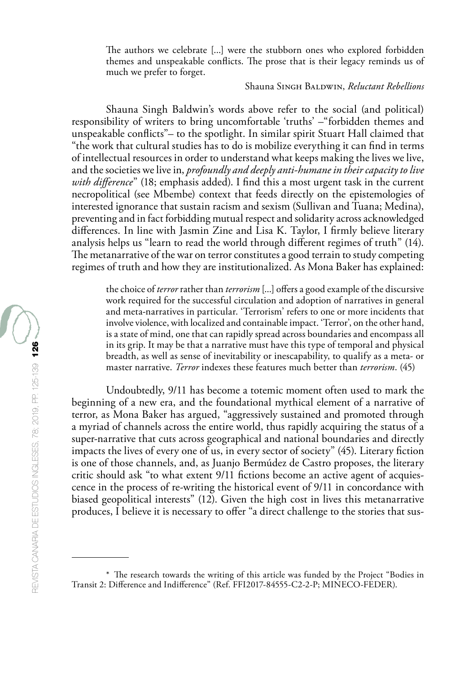The authors we celebrate [...] were the stubborn ones who explored forbidden themes and unspeakable conflicts. The prose that is their legacy reminds us of much we prefer to forget.

### Shauna Singh Baldwin, *Reluctant Rebellions*

Shauna Singh Baldwin's words above refer to the social (and political) responsibility of writers to bring uncomfortable 'truths' –"forbidden themes and unspeakable conflicts"– to the spotlight. In similar spirit Stuart Hall claimed that "the work that cultural studies has to do is mobilize everything it can find in terms of intellectual resources in order to understand what keeps making the lives we live, and the societies we live in, *profoundly and deeply anti-humane in their capacity to live with difference*" (18; emphasis added). I find this a most urgent task in the current necropolitical (see Mbembe) context that feeds directly on the epistemologies of interested ignorance that sustain racism and sexism (Sullivan and Tuana; Medina), preventing and in fact forbidding mutual respect and solidarity across acknowledged differences. In line with Jasmin Zine and Lisa K. Taylor, I firmly believe literary analysis helps us "learn to read the world through different regimes of truth" (14). The metanarrative of the war on terror constitutes a good terrain to study competing regimes of truth and how they are institutionalized. As Mona Baker has explained:

the choice of *terror* rather than *terrorism* [...] offers a good example of the discursive work required for the successful circulation and adoption of narratives in general and meta-narratives in particular. 'Terrorism' refers to one or more incidents that involve violence, with localized and containable impact. 'Terror', on the other hand, is a state of mind, one that can rapidly spread across boundaries and encompass all in its grip. It may be that a narrative must have this type of temporal and physical breadth, as well as sense of inevitability or inescapability, to qualify as a meta- or master narrative. *Terror* indexes these features much better than *terrorism*. (45)

Undoubtedly, 9/11 has become a totemic moment often used to mark the beginning of a new era, and the foundational mythical element of a narrative of terror, as Mona Baker has argued, "aggressively sustained and promoted through a myriad of channels across the entire world, thus rapidly acquiring the status of a super-narrative that cuts across geographical and national boundaries and directly impacts the lives of every one of us, in every sector of society" (45). Literary fiction is one of those channels, and, as Juanjo Bermúdez de Castro proposes, the literary critic should ask "to what extent 9/11 fictions become an active agent of acquiescence in the process of re-writing the historical event of 9/11 in concordance with biased geopolitical interests" (12). Given the high cost in lives this metanarrative produces, I believe it is necessary to offer "a direct challenge to the stories that sus-

<sup>\*</sup> The research towards the writing of this article was funded by the Project "Bodies in Transit 2: Difference and Indifference" (Ref. FFI2017-84555-C2-2-P; MINECO-FEDER).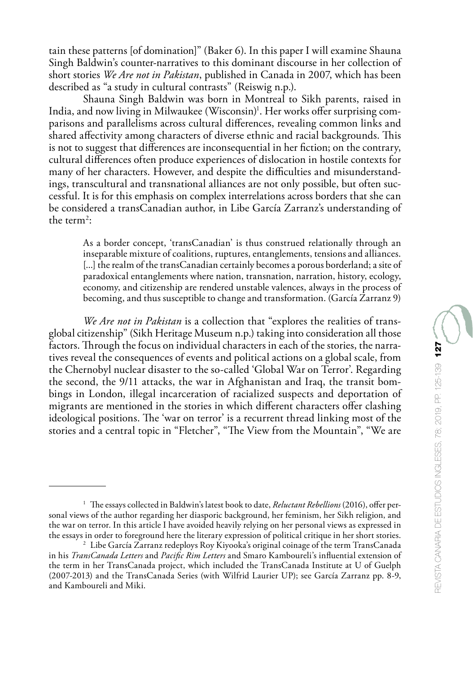tain these patterns [of domination]" (Baker 6). In this paper I will examine Shauna Singh Baldwin's counter-narratives to this dominant discourse in her collection of short stories *We Are not in Pakistan*, published in Canada in 2007, which has been described as "a study in cultural contrasts" (Reiswig n.p.).

Shauna Singh Baldwin was born in Montreal to Sikh parents, raised in India, and now living in Milwaukee (Wisconsin)<sup>1</sup>. Her works offer surprising comparisons and parallelisms across cultural differences, revealing common links and shared affectivity among characters of diverse ethnic and racial backgrounds. This is not to suggest that differences are inconsequential in her fiction; on the contrary, cultural differences often produce experiences of dislocation in hostile contexts for many of her characters. However, and despite the difficulties and misunderstandings, transcultural and transnational alliances are not only possible, but often successful. It is for this emphasis on complex interrelations across borders that she can be considered a transCanadian author, in Libe García Zarranz's understanding of the term<sup>2</sup>:

As a border concept, 'transCanadian' is thus construed relationally through an inseparable mixture of coalitions, ruptures, entanglements, tensions and alliances. [...] the realm of the transCanadian certainly becomes a porous borderland; a site of paradoxical entanglements where nation, transnation, narration, history, ecology, economy, and citizenship are rendered unstable valences, always in the process of becoming, and thus susceptible to change and transformation. (García Zarranz 9)

*We Are not in Pakistan* is a collection that "explores the realities of transglobal citizenship" (Sikh Heritage Museum n.p.) taking into consideration all those factors. Through the focus on individual characters in each of the stories, the narratives reveal the consequences of events and political actions on a global scale, from the Chernobyl nuclear disaster to the so-called 'Global War on Terror'. Regarding the second, the 9/11 attacks, the war in Afghanistan and Iraq, the transit bombings in London, illegal incarceration of racialized suspects and deportation of migrants are mentioned in the stories in which different characters offer clashing ideological positions. The 'war on terror' is a recurrent thread linking most of the stories and a central topic in "Fletcher", "The View from the Mountain", "We are

<sup>1</sup> The essays collected in Baldwin's latest book to date, *Reluctant Rebellions* (2016), offer personal views of the author regarding her diasporic background, her feminism, her Sikh religion, and the war on terror. In this article I have avoided heavily relying on her personal views as expressed in the essays in order to foreground here the literary expression of political critique in her short stories.

<sup>2</sup> Libe García Zarranz redeploys Roy Kiyooka's original coinage of the term TransCanada in his *TransCanada Letters* and *Pacific Rim Letters* and Smaro Kamboureli's influential extension of the term in her TransCanada project, which included the TransCanada Institute at U of Guelph (2007-2013) and the TransCanada Series (with Wilfrid Laurier UP); see García Zarranz pp. 8-9, and Kamboureli and Miki.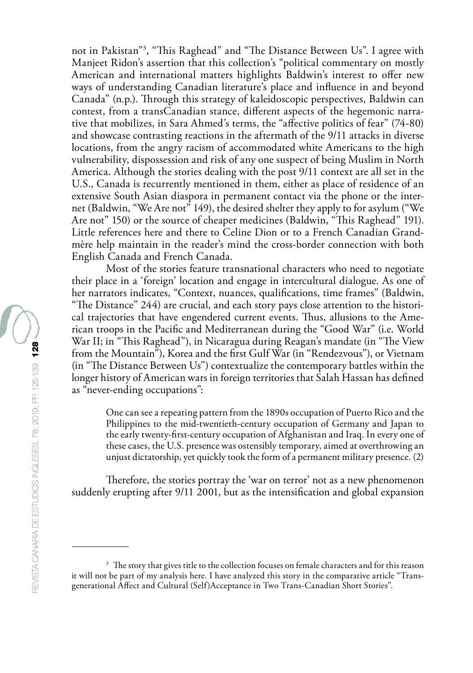not in Pakistan"3 , "This Raghead" and "The Distance Between Us". I agree with Manjeet Ridon's assertion that this collection's "political commentary on mostly American and international matters highlights Baldwin's interest to offer new ways of understanding Canadian literature's place and influence in and beyond Canada" (n.p.). Through this strategy of kaleidoscopic perspectives, Baldwin can contest, from a transCanadian stance, different aspects of the hegemonic narrative that mobilizes, in Sara Ahmed's terms, the "affective politics of fear" (74-80) and showcase contrasting reactions in the aftermath of the 9/11 attacks in diverse locations, from the angry racism of accommodated white Americans to the high vulnerability, dispossession and risk of any one suspect of being Muslim in North America. Although the stories dealing with the post 9/11 context are all set in the U.S., Canada is recurrently mentioned in them, either as place of residence of an extensive South Asian diaspora in permanent contact via the phone or the internet (Baldwin, "We Are not" 149), the desired shelter they apply to for asylum ("We Are not" 150) or the source of cheaper medicines (Baldwin, "This Raghead" 191). Little references here and there to Celine Dion or to a French Canadian Grandmère help maintain in the reader's mind the cross-border connection with both English Canada and French Canada.

Most of the stories feature transnational characters who need to negotiate their place in a 'foreign' location and engage in intercultural dialogue. As one of her narrators indicates, "Context, nuances, qualifications, time frames" (Baldwin, "The Distance" 244) are crucial, and each story pays close attention to the historical trajectories that have engendered current events. Thus, allusions to the American troops in the Pacific and Mediterranean during the "Good War" (i.e. World War II; in "This Raghead"), in Nicaragua during Reagan's mandate (in "The View from the Mountain"), Korea and the first Gulf War (in "Rendezvous"), or Vietnam (in "The Distance Between Us") contextualize the contemporary battles within the longer history of American wars in foreign territories that Salah Hassan has defined as "never-ending occupations":

One can see a repeating pattern from the 1890s occupation of Puerto Rico and the Philippines to the mid-twentieth-century occupation of Germany and Japan to the early twenty-first-century occupation of Afghanistan and Iraq. In every one of these cases, the U.S. presence was ostensibly temporary, aimed at overthrowing an unjust dictatorship, yet quickly took the form of a permanent military presence. (2)

Therefore, the stories portray the 'war on terror' not as a new phenomenon suddenly erupting after 9/11 2001, but as the intensification and global expansion

<sup>&</sup>lt;sup>3</sup> The story that gives title to the collection focuses on female characters and for this reason it will not be part of my analysis here. I have analyzed this story in the comparative article "Transgenerational Affect and Cultural (Self)Acceptance in Two Trans-Canadian Short Stories".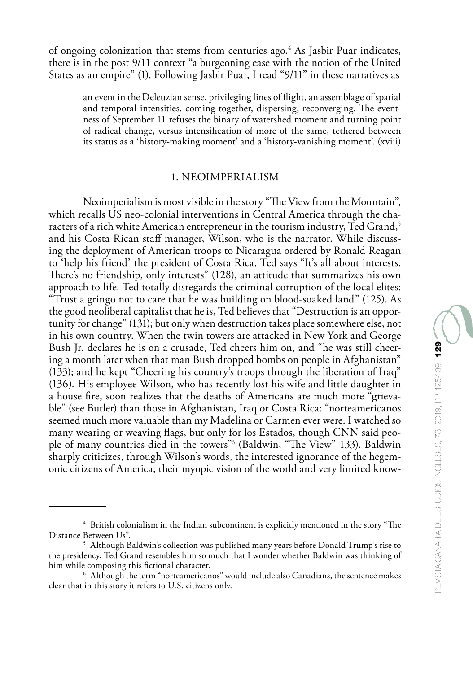of ongoing colonization that stems from centuries ago.<sup>4</sup> As Jasbir Puar indicates, there is in the post 9/11 context "a burgeoning ease with the notion of the United States as an empire" (1). Following Jasbir Puar, I read "9/11" in these narratives as

an event in the Deleuzian sense, privileging lines of flight, an assemblage of spatial and temporal intensities, coming together, dispersing, reconverging. The eventness of September 11 refuses the binary of watershed moment and turning point of radical change, versus intensification of more of the same, tethered between its status as a 'history-making moment' and a 'history-vanishing moment'. (xviii)

### 1. NEOIMPERIALISM

Neoimperialism is most visible in the story "The View from the Mountain", which recalls US neo-colonial interventions in Central America through the characters of a rich white American entrepreneur in the tourism industry, Ted Grand,<sup>5</sup> and his Costa Rican staff manager, Wilson, who is the narrator. While discussing the deployment of American troops to Nicaragua ordered by Ronald Reagan to 'help his friend' the president of Costa Rica, Ted says "It's all about interests. There's no friendship, only interests" (128), an attitude that summarizes his own approach to life. Ted totally disregards the criminal corruption of the local elites: "Trust a gringo not to care that he was building on blood-soaked land" (125). As the good neoliberal capitalist that he is, Ted believes that "Destruction is an opportunity for change" (131); but only when destruction takes place somewhere else, not in his own country. When the twin towers are attacked in New York and George Bush Jr. declares he is on a crusade, Ted cheers him on, and "he was still cheering a month later when that man Bush dropped bombs on people in Afghanistan" (133); and he kept "Cheering his country's troops through the liberation of Iraq" (136). His employee Wilson, who has recently lost his wife and little daughter in a house fire, soon realizes that the deaths of Americans are much more "grievable" (see Butler) than those in Afghanistan, Iraq or Costa Rica: "norteamericanos seemed much more valuable than my Madelina or Carmen ever were. I watched so many wearing or weaving flags, but only for los Estados, though CNN said people of many countries died in the towers"6 (Baldwin, "The View" 133). Baldwin sharply criticizes, through Wilson's words, the interested ignorance of the hegemonic citizens of America, their myopic vision of the world and very limited know-

<sup>4</sup> British colonialism in the Indian subcontinent is explicitly mentioned in the story "The Distance Between Us".

<sup>&</sup>lt;sup>5</sup> Although Baldwin's collection was published many years before Donald Trump's rise to the presidency, Ted Grand resembles him so much that I wonder whether Baldwin was thinking of him while composing this fictional character.

 $6$  Although the term "norteamericanos" would include also Canadians, the sentence makes clear that in this story it refers to U.S. citizens only.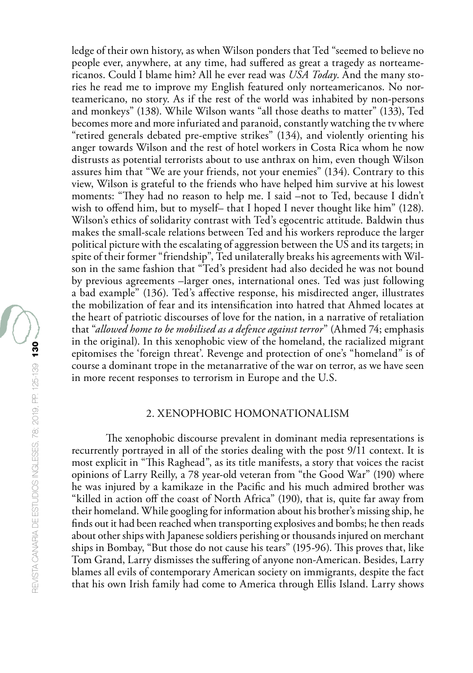ledge of their own history, as when Wilson ponders that Ted "seemed to believe no people ever, anywhere, at any time, had suffered as great a tragedy as norteamericanos. Could I blame him? All he ever read was *USA Today*. And the many stories he read me to improve my English featured only norteamericanos. No norteamericano, no story. As if the rest of the world was inhabited by non-persons and monkeys" (138). While Wilson wants "all those deaths to matter" (133), Ted becomes more and more infuriated and paranoid, constantly watching the tv where "retired generals debated pre-emptive strikes" (134), and violently orienting his anger towards Wilson and the rest of hotel workers in Costa Rica whom he now distrusts as potential terrorists about to use anthrax on him, even though Wilson assures him that "We are your friends, not your enemies" (134). Contrary to this view, Wilson is grateful to the friends who have helped him survive at his lowest moments: "They had no reason to help me. I said –not to Ted, because I didn't wish to offend him, but to myself– that I hoped I never thought like him" (128). Wilson's ethics of solidarity contrast with Ted's egocentric attitude. Baldwin thus makes the small-scale relations between Ted and his workers reproduce the larger political picture with the escalating of aggression between the US and its targets; in spite of their former "friendship", Ted unilaterally breaks his agreements with Wilson in the same fashion that "Ted's president had also decided he was not bound by previous agreements –larger ones, international ones. Ted was just following a bad example" (136). Ted's affective response, his misdirected anger, illustrates the mobilization of fear and its intensification into hatred that Ahmed locates at the heart of patriotic discourses of love for the nation, in a narrative of retaliation that "*allowed home to be mobilised as a defence against terror*" (Ahmed 74; emphasis in the original). In this xenophobic view of the homeland, the racialized migrant epitomises the 'foreign threat'. Revenge and protection of one's "homeland" is of course a dominant trope in the metanarrative of the war on terror, as we have seen in more recent responses to terrorism in Europe and the U.S.

## 2. XENOPHOBIC HOMONATIONALISM

The xenophobic discourse prevalent in dominant media representations is recurrently portrayed in all of the stories dealing with the post 9/11 context. It is most explicit in "This Raghead", as its title manifests, a story that voices the racist opinions of Larry Reilly, a 78 year-old veteran from "the Good War" (190) where he was injured by a kamikaze in the Pacific and his much admired brother was "killed in action off the coast of North Africa" (190), that is, quite far away from their homeland. While googling for information about his brother's missing ship, he finds out it had been reached when transporting explosives and bombs; he then reads about other ships with Japanese soldiers perishing or thousands injured on merchant ships in Bombay, "But those do not cause his tears" (195-96). This proves that, like Tom Grand, Larry dismisses the suffering of anyone non-American. Besides, Larry blames all evils of contemporary American society on immigrants, despite the fact that his own Irish family had come to America through Ellis Island. Larry shows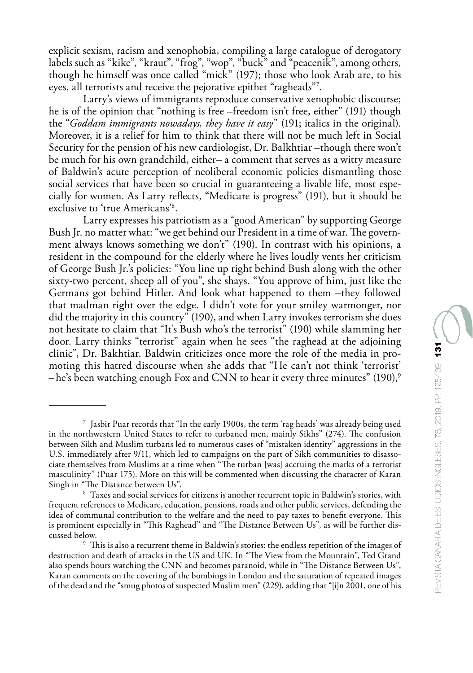explicit sexism, racism and xenophobia, compiling a large catalogue of derogatory labels such as "kike", "kraut", "frog", "wop", "buck" and "peacenik", among others, though he himself was once called "mick" (197); those who look Arab are, to his eyes, all terrorists and receive the pejorative epithet "ragheads"7 .

Larry's views of immigrants reproduce conservative xenophobic discourse; he is of the opinion that "nothing is free –freedom isn't free, either" (191) though the "*Goddam immigrants nowadays, they have it easy*" (191; italics in the original). Moreover, it is a relief for him to think that there will not be much left in Social Security for the pension of his new cardiologist, Dr. Balkhtiar –though there won't be much for his own grandchild, either– a comment that serves as a witty measure of Baldwin's acute perception of neoliberal economic policies dismantling those social services that have been so crucial in guaranteeing a livable life, most especially for women. As Larry reflects, "Medicare is progress" (191), but it should be exclusive to 'true Americans'8 .

Larry expresses his patriotism as a "good American" by supporting George Bush Jr. no matter what: "we get behind our President in a time of war. The government always knows something we don't" (190). In contrast with his opinions, a resident in the compound for the elderly where he lives loudly vents her criticism of George Bush Jr.'s policies: "You line up right behind Bush along with the other sixty-two percent, sheep all of you", she shays. "You approve of him, just like the Germans got behind Hitler. And look what happened to them –they followed that madman right over the edge. I didn't vote for your smiley warmonger, nor did the majority in this country" (190), and when Larry invokes terrorism she does not hesitate to claim that "It's Bush who's the terrorist" (190) while slamming her door. Larry thinks "terrorist" again when he sees "the raghead at the adjoining clinic", Dr. Bakhtiar. Baldwin criticizes once more the role of the media in promoting this hatred discourse when she adds that "He can't not think 'terrorist' – he's been watching enough Fox and CNN to hear it every three minutes" (190),<sup>9</sup>

<sup>7</sup> Jasbir Puar records that "In the early 1900s, the term 'rag heads' was already being used in the northwestern United States to refer to turbaned men, mainly Sikhs" (274). The confusion between Sikh and Muslim turbans led to numerous cases of "mistaken identity" aggressions in the U.S. immediately after 9/11, which led to campaigns on the part of Sikh communities to disassociate themselves from Muslims at a time when "The turban [was] accruing the marks of a terrorist masculinity" (Puar 175). More on this will be commented when discussing the character of Karan Singh in "The Distance between Us".

<sup>8</sup> Taxes and social services for citizens is another recurrent topic in Baldwin's stories, with frequent references to Medicare, education, pensions, roads and other public services, defending the idea of communal contribution to the welfare and the need to pay taxes to benefit everyone. This is prominent especially in "This Raghead" and "The Distance Between Us", as will be further discussed below.

<sup>9</sup> This is also a recurrent theme in Baldwin's stories: the endless repetition of the images of destruction and death of attacks in the US and UK. In "The View from the Mountain", Ted Grand also spends hours watching the CNN and becomes paranoid, while in "The Distance Between Us", Karan comments on the covering of the bombings in London and the saturation of repeated images of the dead and the "smug photos of suspected Muslim men" (229), adding that "[i]n 2001, one of his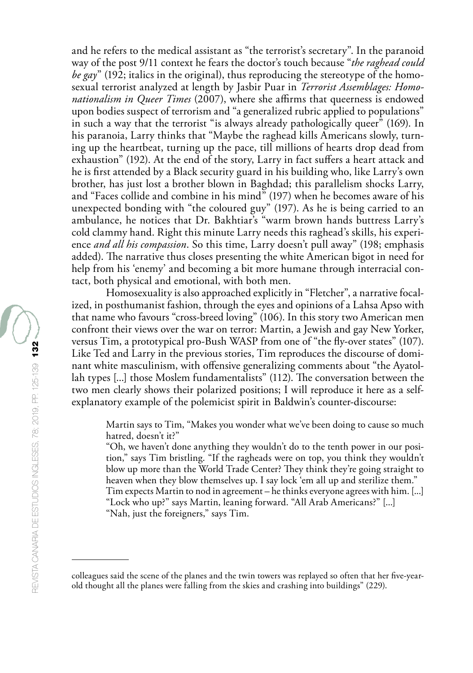and he refers to the medical assistant as "the terrorist's secretary". In the paranoid way of the post 9/11 context he fears the doctor's touch because "*the raghead could be gay*" (192; italics in the original), thus reproducing the stereotype of the homosexual terrorist analyzed at length by Jasbir Puar in *Terrorist Assemblages: Homonationalism in Queer Times* (2007), where she affirms that queerness is endowed upon bodies suspect of terrorism and "a generalized rubric applied to populations" in such a way that the terrorist "is always already pathologically queer" (169). In his paranoia, Larry thinks that "Maybe the raghead kills Americans slowly, turning up the heartbeat, turning up the pace, till millions of hearts drop dead from exhaustion" (192). At the end of the story, Larry in fact suffers a heart attack and he is first attended by a Black security guard in his building who, like Larry's own brother, has just lost a brother blown in Baghdad; this parallelism shocks Larry, and "Faces collide and combine in his mind" (197) when he becomes aware of his unexpected bonding with "the coloured guy" (197). As he is being carried to an ambulance, he notices that Dr. Bakhtiar's "warm brown hands buttress Larry's cold clammy hand. Right this minute Larry needs this raghead's skills, his experience *and all his compassion*. So this time, Larry doesn't pull away" (198; emphasis added). The narrative thus closes presenting the white American bigot in need for help from his 'enemy' and becoming a bit more humane through interracial contact, both physical and emotional, with both men.

Homosexuality is also approached explicitly in "Fletcher", a narrative focalized, in posthumanist fashion, through the eyes and opinions of a Lahsa Apso with that name who favours "cross-breed loving" (106). In this story two American men confront their views over the war on terror: Martin, a Jewish and gay New Yorker, versus Tim, a prototypical pro-Bush WASP from one of "the fly-over states" (107). Like Ted and Larry in the previous stories, Tim reproduces the discourse of dominant white masculinism, with offensive generalizing comments about "the Ayatollah types [...] those Moslem fundamentalists" (112). The conversation between the two men clearly shows their polarized positions; I will reproduce it here as a selfexplanatory example of the polemicist spirit in Baldwin's counter-discourse:

Martin says to Tim, "Makes you wonder what we've been doing to cause so much hatred, doesn't it?"

"Oh, we haven't done anything they wouldn't do to the tenth power in our position," says Tim bristling. "If the ragheads were on top, you think they wouldn't blow up more than the World Trade Center? They think they're going straight to heaven when they blow themselves up. I say lock 'em all up and sterilize them." Tim expects Martin to nod in agreement – he thinks everyone agrees with him. [...] "Lock who up?" says Martin, leaning forward. "All Arab Americans?" [...] "Nah, just the foreigners," says Tim.

colleagues said the scene of the planes and the twin towers was replayed so often that her five-yearold thought all the planes were falling from the skies and crashing into buildings" (229).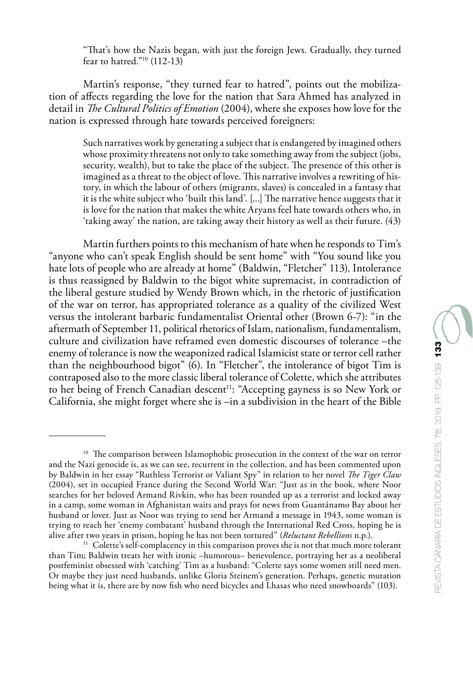"That's how the Nazis began, with just the foreign Jews. Gradually, they turned fear to hatred."<sup>10</sup>  $(112-13)$ 

Martin's response, "they turned fear to hatred", points out the mobilization of affects regarding the love for the nation that Sara Ahmed has analyzed in detail in *The Cultural Politics of Emotion* (2004), where she exposes how love for the nation is expressed through hate towards perceived foreigners:

Such narratives work by generating a subject that is endangered by imagined others whose proximity threatens not only to take something away from the subject (jobs, security, wealth), but to take the place of the subject. The presence of this other is imagined as a threat to the object of love. This narrative involves a rewriting of history, in which the labour of others (migrants, slaves) is concealed in a fantasy that it is the white subject who 'built this land'. [...] The narrative hence suggests that it is love for the nation that makes the white Aryans feel hate towards others who, in 'taking away' the nation, are taking away their history as well as their future. (43)

Martin furthers points to this mechanism of hate when he responds to Tim's "anyone who can't speak English should be sent home" with "You sound like you hate lots of people who are already at home" (Baldwin, "Fletcher" 113). Intolerance is thus reassigned by Baldwin to the bigot white supremacist, in contradiction of the liberal gesture studied by Wendy Brown which, in the rhetoric of justification of the war on terror, has appropriated tolerance as a quality of the civilized West versus the intolerant barbaric fundamentalist Oriental other (Brown 6-7): "in the aftermath of September 11, political rhetorics of Islam, nationalism, fundamentalism, culture and civilization have reframed even domestic discourses of tolerance –the enemy of tolerance is now the weaponized radical Islamicist state or terror cell rather than the neighbourhood bigot" (6). In "Fletcher", the intolerance of bigot Tim is contraposed also to the more classic liberal tolerance of Colette, which she attributes to her being of French Canadian descent<sup>11</sup>: "Accepting gayness is so New York or California, she might forget where she is –in a subdivision in the heart of the Bible

<sup>&</sup>lt;sup>10</sup> The comparison between Islamophobic prosecution in the context of the war on terror and the Nazi genocide is, as we can see, recurrent in the collection, and has been commented upon by Baldwin in her essay "Ruthless Terrorist or Valiant Spy" in relation to her novel *The Tiger Claw*  (2004), set in occupied France during the Second World War: "Just as in the book, where Noor searches for her beloved Armand Rivkin, who has been rounded up as a terrorist and locked away in a camp, some woman in Afghanistan waits and prays for news from Guantánamo Bay about her husband or lover. Just as Noor was trying to send her Armand a message in 1943, some woman is trying to reach her 'enemy combatant' husband through the International Red Cross, hoping he is alive after two years in prison, hoping he has not been tortured" (*Reluctant Rebellions* n.p.).

<sup>&</sup>lt;sup>11</sup> Colette's self-complacency in this comparison proves she is not that much more tolerant than Tim; Baldwin treats her with ironic –humorous– benevolence, portraying her as a neoliberal postfeminist obsessed with 'catching' Tim as a husband: "Colette says some women still need men. Or maybe they just need husbands, unlike Gloria Steinem's generation. Perhaps, genetic mutation being what it is, there are by now fish who need bicycles and Lhasas who need snowboards" (103).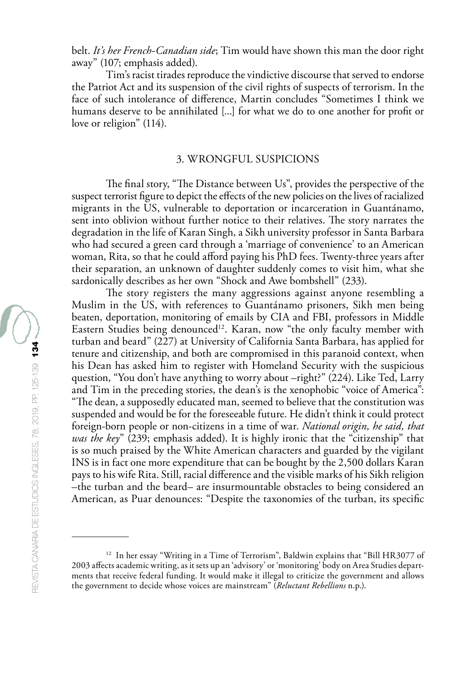belt. *It's her French-Canadian side*; Tim would have shown this man the door right away" (107; emphasis added).

Tim's racist tirades reproduce the vindictive discourse that served to endorse the Patriot Act and its suspension of the civil rights of suspects of terrorism. In the face of such intolerance of difference, Martin concludes "Sometimes I think we humans deserve to be annihilated [...] for what we do to one another for profit or love or religion" (114).

### 3. WRONGFUL SUSPICIONS

The final story, "The Distance between Us", provides the perspective of the suspect terrorist figure to depict the effects of the new policies on the lives of racialized migrants in the US, vulnerable to deportation or incarceration in Guantánamo, sent into oblivion without further notice to their relatives. The story narrates the degradation in the life of Karan Singh, a Sikh university professor in Santa Barbara who had secured a green card through a 'marriage of convenience' to an American woman, Rita, so that he could afford paying his PhD fees. Twenty-three years after their separation, an unknown of daughter suddenly comes to visit him, what she sardonically describes as her own "Shock and Awe bombshell" (233).

The story registers the many aggressions against anyone resembling a Muslim in the US, with references to Guantánamo prisoners, Sikh men being beaten, deportation, monitoring of emails by CIA and FBI, professors in Middle Eastern Studies being denounced<sup>12</sup>. Karan, now "the only faculty member with turban and beard" (227) at University of California Santa Barbara, has applied for tenure and citizenship, and both are compromised in this paranoid context, when his Dean has asked him to register with Homeland Security with the suspicious question, "You don't have anything to worry about –right?" (224). Like Ted, Larry and Tim in the preceding stories, the dean's is the xenophobic "voice of America": "The dean, a supposedly educated man, seemed to believe that the constitution was suspended and would be for the foreseeable future. He didn't think it could protect foreign-born people or non-citizens in a time of war. *National origin, he said, that was the key*" (239; emphasis added). It is highly ironic that the "citizenship" that is so much praised by the White American characters and guarded by the vigilant INS is in fact one more expenditure that can be bought by the 2,500 dollars Karan pays to his wife Rita. Still, racial difference and the visible marks of his Sikh religion –the turban and the beard– are insurmountable obstacles to being considered an American, as Puar denounces: "Despite the taxonomies of the turban, its specific

<sup>&</sup>lt;sup>12</sup> In her essay "Writing in a Time of Terrorism", Baldwin explains that "Bill HR3077 of 2003 affects academic writing, as it sets up an 'advisory' or 'monitoring' body on Area Studies departments that receive federal funding. It would make it illegal to criticize the government and allows the government to decide whose voices are mainstream" (*Reluctant Rebellions* n.p.).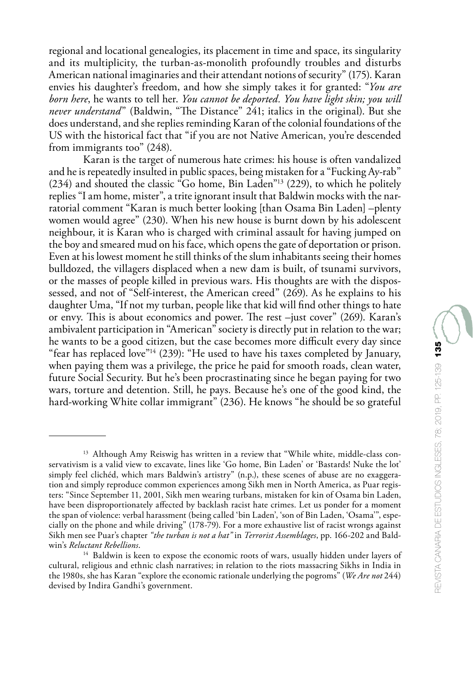regional and locational genealogies, its placement in time and space, its singularity and its multiplicity, the turban-as-monolith profoundly troubles and disturbs American national imaginaries and their attendant notions of security" (175). Karan envies his daughter's freedom, and how she simply takes it for granted: "*You are born here*, he wants to tell her. *You cannot be deported. You have light skin; you will never understand*" (Baldwin, "The Distance" 241; italics in the original). But she does understand, and she replies reminding Karan of the colonial foundations of the US with the historical fact that "if you are not Native American, you're descended from immigrants too" (248).

Karan is the target of numerous hate crimes: his house is often vandalized and he is repeatedly insulted in public spaces, being mistaken for a "Fucking Ay-rab" (234) and shouted the classic "Go home, Bin Laden"13 (229), to which he politely replies "I am home, mister", a trite ignorant insult that Baldwin mocks with the narratorial comment "Karan is much better looking [than Osama Bin Laden] –plenty women would agree" (230). When his new house is burnt down by his adolescent neighbour, it is Karan who is charged with criminal assault for having jumped on the boy and smeared mud on his face, which opens the gate of deportation or prison. Even at his lowest moment he still thinks of the slum inhabitants seeing their homes bulldozed, the villagers displaced when a new dam is built, of tsunami survivors, or the masses of people killed in previous wars. His thoughts are with the dispossessed, and not of "Self-interest, the American creed" (269). As he explains to his daughter Uma, "If not my turban, people like that kid will find other things to hate or envy. This is about economics and power. The rest –just cover" (269). Karan's ambivalent participation in "American" society is directly put in relation to the war; he wants to be a good citizen, but the case becomes more difficult every day since "fear has replaced love"<sup>14</sup> (239): "He used to have his taxes completed by January, when paying them was a privilege, the price he paid for smooth roads, clean water, future Social Security. But he's been procrastinating since he began paying for two wars, torture and detention. Still, he pays. Because he's one of the good kind, the hard-working White collar immigrant" (236). He knows "he should be so grateful

<sup>&</sup>lt;sup>13</sup> Although Amy Reiswig has written in a review that "While white, middle-class conservativism is a valid view to excavate, lines like 'Go home, Bin Laden' or 'Bastards! Nuke the lot' simply feel clichéd, which mars Baldwin's artistry" (n.p.), these scenes of abuse are no exaggeration and simply reproduce common experiences among Sikh men in North America, as Puar registers: "Since September 11, 2001, Sikh men wearing turbans, mistaken for kin of Osama bin Laden, have been disproportionately affected by backlash racist hate crimes. Let us ponder for a moment the span of violence: verbal harassment (being called 'bin Laden', 'son of Bin Laden, 'Osama'", especially on the phone and while driving" (178-79). For a more exhaustive list of racist wrongs against Sikh men see Puar's chapter *"the turban is not a hat"* in *Terrorist Assemblages*, pp. 166-202 and Baldwin's *Reluctant Rebellions*.

<sup>&</sup>lt;sup>14</sup> Baldwin is keen to expose the economic roots of wars, usually hidden under layers of cultural, religious and ethnic clash narratives; in relation to the riots massacring Sikhs in India in the 1980s, she has Karan "explore the economic rationale underlying the pogroms" (*We Are not* 244) devised by Indira Gandhi's government.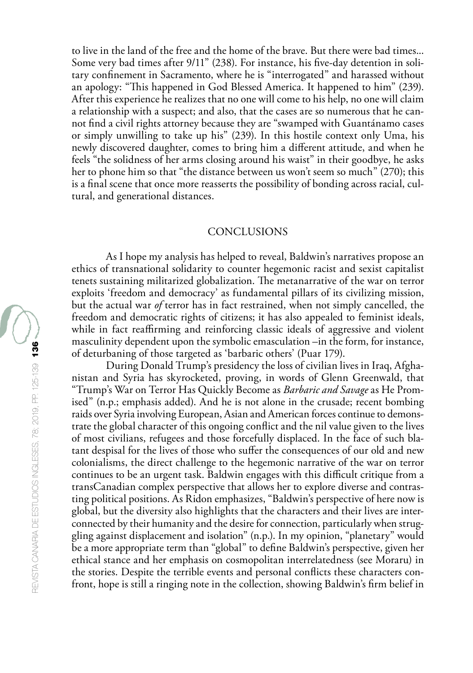to live in the land of the free and the home of the brave. But there were bad times... Some very bad times after 9/11" (238). For instance, his five-day detention in solitary confinement in Sacramento, where he is "interrogated" and harassed without an apology: "This happened in God Blessed America. It happened to him" (239). After this experience he realizes that no one will come to his help, no one will claim a relationship with a suspect; and also, that the cases are so numerous that he cannot find a civil rights attorney because they are "swamped with Guantánamo cases or simply unwilling to take up his" (239). In this hostile context only Uma, his newly discovered daughter, comes to bring him a different attitude, and when he feels "the solidness of her arms closing around his waist" in their goodbye, he asks her to phone him so that "the distance between us won't seem so much" (270); this is a final scene that once more reasserts the possibility of bonding across racial, cultural, and generational distances.

## **CONCLUSIONS**

As I hope my analysis has helped to reveal, Baldwin's narratives propose an ethics of transnational solidarity to counter hegemonic racist and sexist capitalist tenets sustaining militarized globalization. The metanarrative of the war on terror exploits 'freedom and democracy' as fundamental pillars of its civilizing mission, but the actual war *of* terror has in fact restrained, when not simply cancelled, the freedom and democratic rights of citizens; it has also appealed to feminist ideals, while in fact reaffirming and reinforcing classic ideals of aggressive and violent masculinity dependent upon the symbolic emasculation –in the form, for instance, of deturbaning of those targeted as 'barbaric others' (Puar 179).

During Donald Trump's presidency the loss of civilian lives in Iraq, Afghanistan and Syria has skyrocketed, proving, in words of Glenn Greenwald, that "Trump's War on Terror Has Quickly Become as *Barbaric and Savage* as He Promised" (n.p.; emphasis added). And he is not alone in the crusade; recent bombing raids over Syria involving European, Asian and American forces continue to demonstrate the global character of this ongoing conflict and the nil value given to the lives of most civilians, refugees and those forcefully displaced. In the face of such blatant despisal for the lives of those who suffer the consequences of our old and new colonialisms, the direct challenge to the hegemonic narrative of the war on terror continues to be an urgent task. Baldwin engages with this difficult critique from a transCanadian complex perspective that allows her to explore diverse and contrasting political positions. As Ridon emphasizes, "Baldwin's perspective of here now is global, but the diversity also highlights that the characters and their lives are interconnected by their humanity and the desire for connection, particularly when struggling against displacement and isolation" (n.p.). In my opinion, "planetary" would be a more appropriate term than "global" to define Baldwin's perspective, given her ethical stance and her emphasis on cosmopolitan interrelatedness (see Moraru) in the stories. Despite the terrible events and personal conflicts these characters confront, hope is still a ringing note in the collection, showing Baldwin's firm belief in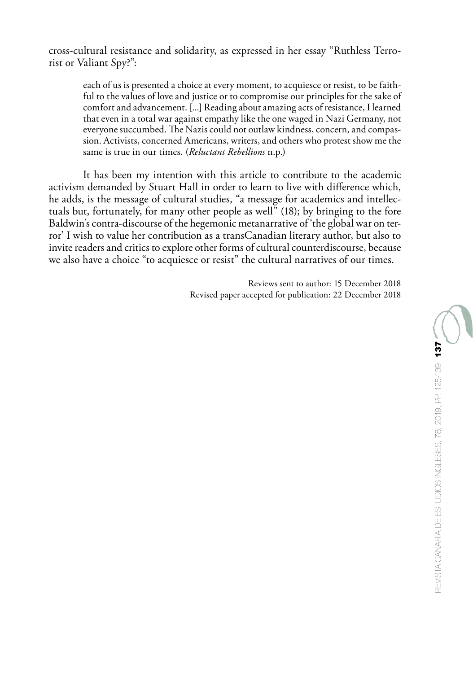cross-cultural resistance and solidarity, as expressed in her essay "Ruthless Terrorist or Valiant Spy?":

each of us is presented a choice at every moment, to acquiesce or resist, to be faithful to the values of love and justice or to compromise our principles for the sake of comfort and advancement. [...] Reading about amazing acts of resistance, I learned that even in a total war against empathy like the one waged in Nazi Germany, not everyone succumbed. The Nazis could not outlaw kindness, concern, and compassion. Activists, concerned Americans, writers, and others who protest show me the same is true in our times. (*Reluctant Rebellions* n.p.)

It has been my intention with this article to contribute to the academic activism demanded by Stuart Hall in order to learn to live with difference which, he adds, is the message of cultural studies, "a message for academics and intellectuals but, fortunately, for many other people as well" (18); by bringing to the fore Baldwin's contra-discourse of the hegemonic metanarrative of 'the global war on terror' I wish to value her contribution as a transCanadian literary author, but also to invite readers and critics to explore other forms of cultural counterdiscourse, because we also have a choice "to acquiesce or resist" the cultural narratives of our times.

> Reviews sent to author: 15 December 2018 Revised paper accepted for publication: 22 December 2018

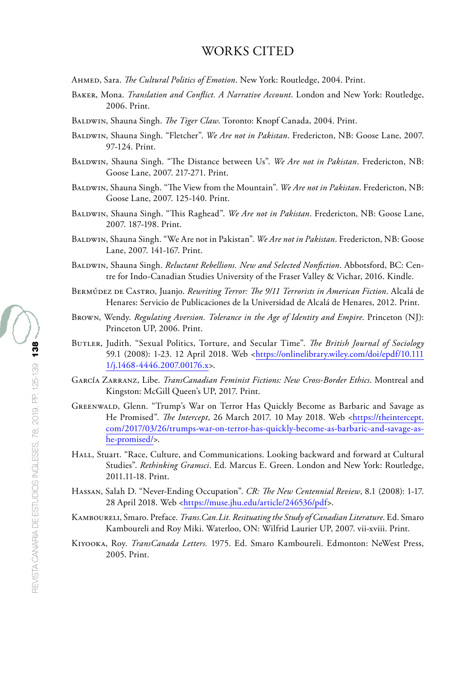# WORKS CITED

- Ahmed, Sara. *The Cultural Politics of Emotion*. New York: Routledge, 2004. Print.
- Baker, Mona. *Translation and Conflict. A Narrative Account*. London and New York: Routledge, 2006. Print.
- Baldwin, Shauna Singh. *The Tiger Claw*. Toronto: Knopf Canada, 2004. Print.
- Baldwin, Shauna Singh. "Fletcher". *We Are not in Pakistan*. Fredericton, NB: Goose Lane, 2007. 97-124. Print.
- Baldwin, Shauna Singh. "The Distance between Us". *We Are not in Pakistan*. Fredericton, NB: Goose Lane, 2007. 217-271. Print.
- Baldwin, Shauna Singh. "The View from the Mountain". *We Are not in Pakistan*. Fredericton, NB: Goose Lane, 2007. 125-140. Print.
- Baldwin, Shauna Singh. "This Raghead". *We Are not in Pakistan*. Fredericton, NB: Goose Lane, 2007. 187-198. Print.
- Baldwin, Shauna Singh. "We Are not in Pakistan". *We Are not in Pakistan*. Fredericton, NB: Goose Lane, 2007. 141-167. Print.
- Baldwin, Shauna Singh. *Reluctant Rebellions. New and Selected Nonfiction*. Abbotsford, BC: Centre for Indo-Canadian Studies University of the Fraser Valley & Vichar, 2016. Kindle.
- Bermúdez de Castro, Juanjo. *Rewriting Terror: The 9/11 Terrorists in American Fiction*. Alcalá de Henares: Servicio de Publicaciones de la Universidad de Alcalá de Henares, 2012. Print.
- Brown, Wendy. *Regulating Aversion. Tolerance in the Age of Identity and Empire*. Princeton (NJ): Princeton UP, 2006. Print.
- Butler, Judith. "Sexual Politics, Torture, and Secular Time". *The British Journal of Sociology* 59.1 (2008): 1-23. 12 April 2018. Web <[https://onlinelibrary.wiley.com/doi/epdf/10.111](https://onlinelibrary.wiley.com/doi/epdf/10.1111/j.1468-4446.2007.00176.x) [1/j.1468-4446.2007.00176.x>](https://onlinelibrary.wiley.com/doi/epdf/10.1111/j.1468-4446.2007.00176.x).
- García Zarranz, Libe. *TransCanadian Feminist Fictions: New Cross-Border Ethics*. Montreal and Kingston: McGill Queen's UP, 2017. Print.
- Greenwald, Glenn. "Trump's War on Terror Has Quickly Become as Barbaric and Savage as He Promised". *The Intercept*, 26 March 2017. 10 May 2018. Web <[https://theintercept.](https://theintercept.com/2017/03/26/trumps-war-on-terror-has-quickly-become-as-barbaric-and-savage-as-he-promised/) [com/2017/03/26/trumps-war-on-terror-has-quickly-become-as-barbaric-and-savage-as](https://theintercept.com/2017/03/26/trumps-war-on-terror-has-quickly-become-as-barbaric-and-savage-as-he-promised/)[he-promised/>](https://theintercept.com/2017/03/26/trumps-war-on-terror-has-quickly-become-as-barbaric-and-savage-as-he-promised/).
- HALL, Stuart. "Race, Culture, and Communications. Looking backward and forward at Cultural Studies". *Rethinking Gramsci*. Ed. Marcus E. Green. London and New York: Routledge, 2011.11-18. Print.
- Hassan, Salah D. "Never-Ending Occupation". *CR: The New Centennial Review*, 8.1 (2008): 1-17. 28 April 2018. Web <[https://muse.jhu.edu/article/246536/pdf>](https://muse.jhu.edu/article/246536/pdf).
- Kamboureli, Smaro. Preface. *Trans.Can.Lit. Resituating the Study of Canadian Literature*. Ed. Smaro Kamboureli and Roy Miki. Waterloo, ON: Wilfrid Laurier UP, 2007. vii-xviii. Print.
- Kiyooka, Roy. *TransCanada Letters.* 1975. Ed. Smaro Kamboureli. Edmonton: NeWest Press, 2005. Print.